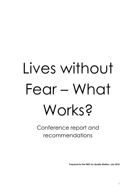# Lives without Fear – What Works?

Conference report and recommendations

**Prepared for the NEIC by Quality Matters, July 2018**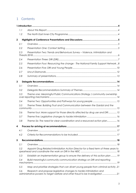## 1 Contents

|             | 1.1 |                                                                                                                                                      |      |
|-------------|-----|------------------------------------------------------------------------------------------------------------------------------------------------------|------|
|             | 1.2 |                                                                                                                                                      |      |
| $\mathbf 2$ |     |                                                                                                                                                      |      |
|             | 2.1 |                                                                                                                                                      |      |
|             | 2.2 |                                                                                                                                                      |      |
|             | 2.3 | Presentation Two: Trends and Behaviours Survey - Violence, Intimidation and                                                                          |      |
|             | 2.4 |                                                                                                                                                      |      |
|             | 2.5 | Presentation Four: Resourcing the change - The National Family Support Network8                                                                      |      |
|             | 2.6 |                                                                                                                                                      |      |
|             | 2.7 |                                                                                                                                                      |      |
|             | 2.8 |                                                                                                                                                      |      |
| 3           |     |                                                                                                                                                      |      |
|             | 3.1 |                                                                                                                                                      |      |
|             | 3.2 |                                                                                                                                                      |      |
|             | 3.3 | Theme one: Meaningful Public Communications Strategy / community ownership                                                                           |      |
|             | 3.4 |                                                                                                                                                      |      |
|             | 3.5 | Theme Three: Building Trust and Communication between the Gardaí and the                                                                             |      |
|             | 3.6 | Theme four: More support for those directly affected by drug use and DRI15                                                                           |      |
|             | 3.7 |                                                                                                                                                      |      |
|             | 3.8 | Theme Six: The need for clear coordination and a resourced action plan 16                                                                            |      |
|             |     |                                                                                                                                                      | . 17 |
|             | 4.1 |                                                                                                                                                      |      |
|             | 4.2 |                                                                                                                                                      |      |
| 5           |     |                                                                                                                                                      |      |
|             | 5.1 |                                                                                                                                                      |      |
|             | 5.2 | Appoint Drug Related Intimidation Action Director for a fixed term of three years to                                                                 |      |
|             | 5.3 | Establish an implementation group to ensure the delivery of this action plan  19                                                                     |      |
|             | 5.4 | Build meaningful community communication strategy on DRI and reporting                                                                               |      |
|             | 5.5 | Map and prioritize strategies that can divert young people from criminal activity.21                                                                 |      |
|             | 5.6 | Research and propose legislative changes to tackle intimidation and<br>administrative powers to target welfare and other fraud to be investigated 21 |      |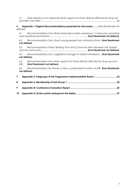*5.7 [Seek delivery of an adequate level support for those directly affected by drug use](#page-21-0)  and DRI in the NEIC [........................................................................................................................22](#page-21-0)*

**6 Appendix I: Original Recommendations presented for discussion. ......**Error! Bookmark not defined.

*6.1 Recommendation One: Build meaningful public awareness / community ownership over reporting mechanisms ............................................................ Error! Bookmark not defined.*

*6.2 Recommendation Two: Divert young people from criminal activity.. Error! Bookmark not defined.*

*6.3 Recommendation Three: Building Trust and Communication between the Gardaí and the community ......................................................................... Error! Bookmark not defined.*

*6.4 Recommendation Four: Legislative changes to tackle intimidation.. Error! Bookmark not defined.*

*6.5 Recommendation Five: More support for those directly affected by drug use and DRI Error! Bookmark not defined.*

*6.6 Recommendation Six: Ensure a clear, coordinated function on DRI . Error! Bookmark not defined.*

| $\mathbf{7}$ |  |
|--------------|--|
| 8            |  |
|              |  |
|              |  |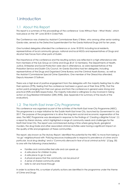# <span id="page-3-0"></span>1.Introduction

## <span id="page-3-1"></span>1.1 About this Report

This report is a summary of the proceedings of the conference 'Lives Without Fear – What Works', which took place on the 18<sup>th</sup> June 2018 in Croke Park.

The Conference was chaired by Assistant Commissioner Barry O'Brien, who among other senior ranking Garda roles, served as the Detective Superintendent for the Garda National Drugs Unit for ten years.

One hundred delegates attended the conference *on* June 18 2018, including local residents, representatives of local community groups, national and local NGOs and representatives of Drugs and Alcohol Task Forces from other parts of Dublin.

The importance of the conference and the resulting actions was reflected in a high attendance rate from members of the Sub Group on Crime and Drugs (8 of 12 members). The Departments of Health, Justice, Enterprise and Social Protection were also in attendance, as were representatives of the Probation Service and Dublin City Council. An Garda Síochána had ten delegates, including representatives of the Drugs and Organised Crime Bureau and the Criminal Assets Bureau, as well as the Assistant Commissioner Special Crime Operations. One member of the Oireachtas attended, Deputy Maureen O'Sullivan.

There was a high level of positive engagement from the delegates with the majority feeling free to offer their opinions (97%), feeling that the conference had been a good use of their time (97%), that the action points emerging from their own group and from the conference in general were strong and practical (92% and 86% respectively). The majority indicated a willingness to stay involved in taking action on Dug Related Intimidation (DRI) (95%). (See Appendix II for summary of the results of the evaluation).

## <span id="page-3-2"></span>1.2 The North East Inner-City Programme

This conference was organised as part of the activities of the North East Inner-City Programme (NEIC). This programme is a major initiative for the Dublin North East Inner City, launched by Government in July 2017. The purpose of the programme is to drive the long-term social and economic regeneration of the area. The NEIC Programme was developed in response to the findings of *'Creating a Brighter Future'* (1) a report by Kieran Mulvey, which highlighted a range of community needs and challenges for the North East Inner City. The report was commissioned during a time where gang feuds, gangland murders, the drug trade and other associated criminal activities were having a significant impact on the quality of life and progression of these communities.

The report, also known as *The Mulvey Report,* identified the potential for the NEIC to move from being a 'no go' neighbourhood with *'Policing resources inadequate to respond to prevalence of crime and in particular, local drug dealing'* and *a 'Community silenced in fear of local criminal activity'* ((1)pg. 30) to one with the following characteristics:

- Families and communities feel safe and can speak up
- A safe place for children to play
- A safe place to go to work
- A physical space that the community can be proud of
- A sense of shared community pride
- Safe to visit and travel through

In order to achieve this, a number of priority actions are identified in the programme under the theme of Crime and Drugs: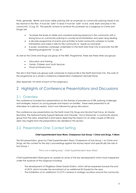Firstly, generally, *'Better and more visible policing with an emphasis on community policing needs to be key feature in the Plan. It must be "safe" to lead; it must be "safe" to live, work, learn and play in the community'* (1) *pg. 25*. The specific actions to achieve this (overseen by a subgroup on Crime and Drugs) are:

- "Increase the levels of visible and consistent policing presence in the community with a strong focus on community policing to counter local intimidation and open drug dealing
- A discrete programme of events and activities to build community cohesion to tackle intimidation and make it safe for the community to 'speak out and lead '
- A public awareness campaign undertaken in the North East Inner City to promote the DRI Reporting programme" (1) pg. 31.

As well as the Crime and Drugs sub-group of the NEIC Programme, there are three other sub-groups:

- **Education and Training**
- Family, Children and Youth Services
- Physical Infrastructure

The aim is that these sub-groups work cohesively to improve life in the North East Inner City. The work of the programme as a whole is chaired by independent chairperson Michael Stone.

(See Appendix I for remit of each of the subgroups.)

## <span id="page-4-0"></span>2 Highlights of Conference Presentations and Discussions

## <span id="page-4-1"></span>2.1 Overview

The conference included four presentations on the themes of prevalence of DRI, policing challenges and strategies, impact on young people and impact on families. These were presented to all attendees at a plenary session, which was followed by group discussions.

The conference saw presentations by the North Inner-City Drugs and Alcohol Task Force, An Garda Síochána, The National Family Support Network and Citywide. 'Uncut Diamonds' a community drama group from the area, presented a short piece depicting the impact on an older couple of DRI and debt. Key insights from the presentations are detailed in this section.

## <span id="page-4-2"></span>2.2 Presentation One: Context Setting

#### **Chief Superintendent Sean Ward, Chairperson Sub Group 1 Crime and Drugs, 9.30am**

The first presentation, given by Chief Superintendent Ward, Chairperson of Sub Group 1 on Crime and Drugs, set the context for the day's proceedings against the Mulvey report and specifically the role of Sub Group 1.

*'This is not a talking shop'. Chief Superintendent Sean Ward*

Chief Superintendent Ward gave an update on some of the key developments which have happened under the auspices of the subgroup including:

- The development of Fitzgibbon Street Garda Station, which will be reopened towards the end of 2019, which includes the recruitment of an additional 50 Gardaí for the area
- The installation of an additional 13 CCTV cameras in strategic locations around the community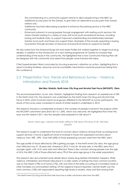- The commissioning of a community support vehicle to allow people living in the NEIC an additional access point for the Gardaí, to give them an alternative access point than Garda stations only
- Additional mountain bikes being acquired to enhance the policing service to the NEIC community
- Enhanced outreach to young people through engagement with existing youth services: this means Gardaí working in a variety of ways with local youth recreational services, including boxing and football clubs, to support improved understanding and relationships between Gardaí, local youth and those who support them. Examples of this include supporting a boxing tournament through provision of resources and practical hands-on support by Gardaí

He also noted how the Divisional Drugs Unit and Assets Profile Unit worked together to target local drug dealers, in addition to the introduction of a new training programme for Gardaí to increase their understanding of the issues in the community. He highlighted that a new Community Policing Plan will be designed with the community and asked that people come forward with ideas.

Chief Superintendent Ward concluded by focusing everyone's attention on action, highlighting that a report including timelines, resources and accountability mechanisms would be produced arising from the conference.

## <span id="page-5-0"></span>2.3 Presentation Two: Trends and Behaviours Survey – Violence, Intimidation and Threats 2018

#### **Mel Mac Giobúin, North Inner-City Drug and Alcohol Task Force (NICDATF), 10am**

The second presentation, by Mr. Mac Giobúin, highlighted findings from research on experiences of DRI in the North Inner City. The research was undertaken by the North Inner-City Drug and Alcohol Task Force in 2018, which involved twenty local groups affiliated to the NICDATF as survey participants. The results of the survey were compared to results of similar research undertaken in 2013.

The research showed a considerable increase in the numbers of people involved in the projects within the NICDATF catchment area (from 501 to 1,359), which was welcome. He highlighted that when this issue was first raised in 2011 very few people were prepared to talk about it.

> 'Seven years ago, nobody was really willing to talk about this issue at all' Mel Mac Giobúin

The research sought to understand the level of concern about violence among those accessing local support services. It found a significant level of increase in those who expressed concerns about violence, from 18% - 29%. Over half (54%) of those expressing concern were from the NEIC area<sup>1</sup>.

The age profile of those affected by DRI is getting younger. In the North Inner-City area, the age group most affected was 21- 25-year olds, whereas in 2013, it was 26- 44 year olds. In the NEIC area this is younger again, with 16-21-year olds most affected. There is also concern among people over the age of 55 in the NEIC (16% of those affected versus 7% of the same age group in the wider population).

The research also documented some details about where drug-related intimidation happens. While violence, intimidation and threats take place in a wide variety of settings the most common location was on the streets (19%) or at home (17%), with one third of the latter occurring at a homeless hostel or other homeless accommodation setting. Of the negative impacts reported, mental health was the most common (13%) with respondents reporting high levels of anxiety, stress and fear among their

l

<sup>1</sup> The North Inner-City Drug and Alcohol Task Force has a wider catchment area than the NEIC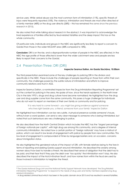service users. While verbal abuse was the most common form of intimidation (11%), specific threats of injury were frequently reported (10%). The violence, intimidation and threats are most often directed at a family member (48%) or the drug user directly (28%) – this has remained the same since the previous research in 2015).

He also noted that while talking about research in the abstract, it was important to acknowledge the lived experience of families affected by feud-related fatalities and the deep impact this has on the whole community.

Of particular note, individuals and groups in the NEIC are significantly less likely to report a concern to Gardaí than those in the wider NICDATF area (38% compared to 18%).

**Conclusion:** DRI is on the rise, and a disproportionate number of people in the NEIC are affected. In the NEIC the age profile of those affected is lower than the wider catchment area and people are less likely to report their concerns to the Gardaí.

## <span id="page-6-0"></span>2.4 Presentation Three: DRI (DRI)

 $\overline{a}$ 

#### **Inspector Seamus Dalton, An Garda Síochána, 10.00am**

The third presentation examined some of the key challenges to policing DRI in the division and specifically in the NEIC. These include the challenges of people reporting on those from within their own community, the challenges posed by the subtle nature of intimidation and efforts to improve community relations and trust in AGS.

Inspector Seamus Dalton, a nominated Inspector from the Drug Intimidation Reporting Programme<sup>2</sup> set out the context for policing in the area. He spoke of how, since the heroin epidemic in the North Inner City in the late 1970's, drugs and drug culture have become normalised. He highlighted how the drug user and drug supplier come from the same community, this poses a huge challenge for individuals who do not want to report on members of their own family or community and for policing.

> *'It is very hard to come forward – you might be giving evidence against someone who lives right beside you, a friend, someone from your family' Inspector Dalton*

He highlighted how intimidation can be very subtle. A physical presence outside someone's house, without even a word spoken, can send a very clear message to someone who is being intimidated, but noted that such behaviours are very challenging to police.

He also described how the North Central Division which includes the NEIC has the *"largest percentage of foreign nationals per capita",* with high drug use among this community, and a degree of internal community intimidation. He noted how a certain portion of 'foreign nationals' may have a mistrust of police, which can result in low levels of engagement with police by people from new communities. This low level of engagement is compounded at times by language barriers and, on occasion, concerns about immigration status.

He also highlighted the gendered nature of the impact of DRI, with female relatives being to the fore in terms of reporting and seeking Garda support around intimidation. He described the anxiety among women about how best to handle a threat. He described their sense of obligation that the debt has to be paid, and their fear that if they pay the debt over 'too quickly' the intimidation won't stop. He also described the impact of the Hutch-Kinahan feud $^3$ , and how names from within the feud are used by those involved in intimidation to heighten the threat.

<sup>2</sup> The Garda National Drugs Unit and the National Family Support Network have developed *'*the Drug Related Intimidation Reporting Programme' to respond to the needs of drug users and family members experiencing drug related intimidation.

<sup>&</sup>lt;sup>3</sup> A drug related criminal feud which has been in the public domain since 2015 and has resulted in several fatalities.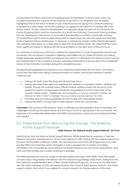He described the Garda response to increasing levels of intimidation in recent years, which has included increasing the capacity of the Divisional Drugs Unit to two Sergeants and 18 Gardaí, highlighting that as the force increases in size, more resources are going into community policing. Increased and more visible community policing is an agreed action specific to tackling DRI in the Mulvey report. He also noted the development of a separate drugs-focused unit for the North City Centre Shopping District and the introduction of a Small Area Policing / Community Policing strategy. This was developed in response to an issue which was identified a number of years ago whereby O'Connell Street and its environs were being used for open drugs use, sale and supply and had high levels of general anti-social behaviour. In response, a small group of plain clothes Gardaī are tasked with patrolling these areas on a daily basis to deal with drug-related crimes. He noted that they have had a significant impact in dealing with the drugs problems in the area and continue to do so.

As a response to these issues AGS have: initiated the organisation of Youth Programmes and Schools Awareness; the recruitment of people of differing nationalities into An Garda Síochána and utilising foreign language speaking Garda; providing security advice to individuals who bring concerns forward and assisting them in the complaints process; reassuring individuals and groups about the confidential nature of the information provided during the complaint process.

He specifically highlighted the importance of confidential relationships with the NGOs, and work to ensure that they feel more willing to bring information to forward. Among the initiatives currently underway are:

- Liaising with North Inner-City Drug and Alcohol Task Force
- Liaising with other State agencies regarding the welfare of vulnerable children, whereby the Gardai, through the Juvenile Liaison Officer scheme working closely with the local youth projects to support young people arrested for drug related activity to steer clear of the Juvenile Justice System. Additionally, all investigations involving vulnerable children are referred to Túsla in effort to highlight the issues being experienced by the child.
- Providing clear procedural guidelines for AGS to deal with drug related threats
- Liaising with NGO's to assist AGS to foster relations within the communities

**Conclusion:** The policing of DRI presents various challenges including people's fears of reporting, the challenges of policing nonverbal threats and the impact of the on-going feud in the community. The importance of confidential relationships with NGOs and proactive community trust building activities was stressed.

## <span id="page-7-0"></span>2.5 Presentation Four: Resourcing the change - The National Family Support Network

#### **Aoife Frances, The National Family Support Network, 10.15 am**

Aoife Frances from the National Family Support Network (NFSN) presented an overview of their key research and policy developments in recent years relevant to DRI, starting with the original research on this issue that the NFSN undertook in 2008. She described the work of the DRI Programme run by AGS and the NFSN and noted key points of progress in policy development in relation to tackling intimidation. She concluded by advocating for increased resources for community organisations, drug users and their families and a public awareness campaign.

The NFSN reported that they first sought to formally address this issue in 2007/2008, when they raised concerns about drug-related intimidation with the National Drug Strategy (NDS) team. Arising from this, then Detective Superintendent Barry O'Brien (Garda National Drugs unit), who was on the NDS team met with senior members of AGS and representatives from Criminal Assets Bureau, forensics and family support workers, from which it was agreed to conduct research on the prevalence of the issue.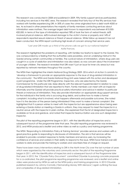This research was conducted in 2008 and published in 2009. Fifty family support services participated, including two services in the NEIC area. The research revealed that forty-four of the fifty services had worked with families experiencing DRI. In 30% of cases the crime originated from a debt worth €500 or less. As echoed in other presentations the majority of family members contacting services about intimidation were mothers. The average largest debt known to respondents was between €10,000- €20,000. In terms of the type of intimidation reported 78% of took the form of verbal threats, 66% involved physical violence, 66% involved damage to the victim's home or property and 14% of respondents reported sexual violence or threat of sexual violence. While follow up research has not been conducted, the NFSN report continuing high levels of concern among their service users.

#### *"Last year DRI made up a third of the phone calls we got to our national helpline"*  Aoife Frances.

The research highlighted the problems of reporting, with families too fearful to report to the Gardaí. This was compounded by a feeling that the authorities were powerless, and an underlying mistrust in the Gardaí among certain communities or families. The cyclical nature of intimidation, where drug users are caught in a cycle of addiction and intimidation was also raised, as was concern about the involvement of younger children. The research revealed that DRI wasn't just an issue for inner city areas but was reported by network members throughout the country.

The NFSN then highlighted the interim National Drug Strategy 2009- 2016 which at Action 5 commits to: '*develop a framework to provide an appropriate response to the issue of drug-related intimidation in the community'.* The NFSN and Garda National Drug Unit were tasked with this action and developed a joint programme. Under the DRI Programme, Inspectors, who are selected by the Garda Commissioner for this particular role, liaise directly with the relevant Superintendent in relation to cases of drug-related intimidation that are reported to them. Family members can meet with an Inspector informally and the Gardaí will provide practical safety information and advice in relation to particular threats or instances of intimidation. They also provide information on appropriate drug support services for the individual in the family who is accruing drug debts, and outline how to make a formal complaint, including what is involved, what happens afterwards and possible outcomes. She noted how it is the decision of the person being intimidated if they want to make a formal complaint. She highlighted that if a person wishes to meet with the Inspector but are apprehensive about being seen entering a Garda station or meeting a Garda in uniform, they may request to meet the Inspector in a neutral venue with the Inspector in plain clothes. She explained that the list of designated Inspectors is available on fsn.ie and garda.ie, and noted that Inspector Seamus Dalton was one such designated Inspector.

The pilot of the reporting programme began in 2011, with the identification of Inspectors and a subsequent launch of the programme later that year. The pilot reporting programme was reviewed in 2012, and NFSN produced a leaflet and online video as well as a policy and training programme.

The NFSN '*Responding to Intimidation Policy & Training Seminar'* provides services and workers with a good practice guide to responding to disclosures of intimidation. The aim is that services will be enabled to provide consistent response to family members and service users, by increasing the confidence of services and workers in their ability to respond to the issue. NFSN have trained over 650 workers to date and provide the training to workers and volunteers free of charge on request.

There have been many interventions relating to DRI in the North Inner City over the last number of years which were organized by the voluntary and community sector; the pilot of the reporting Programme began in 2011, with the identification of Inspectors and a subsequent launch of the Programme later that year. In 2012, the *`Citywide Policy Document`* committed Citywide to pursuing concrete proposals for a co-ordinated, the pilot programme reporting programme was reviewed, and a leaflet and online video were produced by NFSN as well as the NFSN policy and training programme. In 2013 Citywide published research by Johnny Connolly *('Demanding Money With Menace')* again outlining the issue and complexities of drug related intimidation.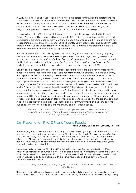In 2015, a seminar which brought together nominated Inspectors, family support facilitators and the Drugs and Organised Crime Bureau was organised by NFSN. The NEIC Taskforce was established by An Taoiseach the following year. NFSN met with Kieran Mulvey in 2016 and advocated that DRI be included in his report, it subsequently was noted as a key issue. NFSN have been lobbying the Programme Implementation Board for a focus on DRI since the launch of the report.

An evaluation of the NFSN element of the programme is currently being conducted by University College Cork and will be completed by end August 2018. It will assess how those working with family members feel the training equips them to work with people experiencing DRI. It will also examine how the reporting system works on the ground including identifying any blocks, gaps and opportunities for improvement. AGS are undertaking their own review of their elements of the programme and it is expected that this will be completed by September 2019.

The NFSN then outlined other ongoing work they were doing in relation to DRI, including on-going dialogue and review with the 28 nominated Inspectors and with the Drugs and Organised Crime Bureau and presenting to the Garda Training College in Templemore. The NFSN are also working with the Health Research Board, with input from The European Monitoring Centre for Drugs and Drug Addiction on new research to develop indicators to measure the prevalence of DRI.

**Conclusion**; In conclusion the NFSN set out their vision for the future and a call for 'no more talking shops' on the issue, identifying that this process needs meaningful involvement from the community. They highlighted that the community and voluntary sector have been active on the issue of DRI for years however their budgets are limited and constantly slashed. They highlighted that the Mulvey report signalled resources and that this is needed, alongside meaningful community involvement, for change to happen. The NFSN asserted that they are calling for a dedicated worker, with a dedicated service focussed on DRI to be established in the NEIC. This position could enable community liaison, coordinate family support, provide a safe space for families and people who use drugs and those who are affected by the issue. She stressed how families need a neutral safe space in order to feel secure in talking about DRI. They also advocated for a public awareness campaign on DRI, and increased services for people who use drugs and for their families, and ongoing support to the organisations that support families through intimidation. The NFSN called on community members and families in the audience to use their voices to demand meaningful and resourced change.

> *'We need a resourced commitment for change, we need a dedicated service, a dedicated worker and a clear public campaign; we need the resources that the Mulvey report promised' Aoife Frances*

## <span id="page-9-0"></span>2.6 Presentation Five: DRI and Young People

#### **Anna Quigley, Coordinator, Citywide, 10.15 am**

Anna Quigley from Citywide focused on the impact of DRI on young people. She referred to a national audit of drug-related intimidation carried out by Citywide and the Health Research Board in 2016 and focused specifically on its findings in relation to children involved either as victims or perpetrators of intimidation. She also spoke about the specific impact of gangland feuds on children and young people. She concluded with recommendations on the most effective interventions to divert young people from drug related activity.

Presenting the findings of the Citywide/HRB intimidation audit, Ms Quigley reported that 19% of incidents of intimidation documented involved children aged 9 to 17 as victims of intimidation, and 10% of incidents involved children (aged 15 to 17) as perpetrators. The interplay between drug debt and drug intimidation is particularly striking, with the same young people being both victims and perpetrators of intimidation.

*'The same young person who is acting tough in one situation, is the one who is terrified in another.' Anna Quigley*

The research found how debts are run up through recreational drug use, resulting in significant anxiety and mental health problems. Schools can often be the setting for intimidation, with a challenge being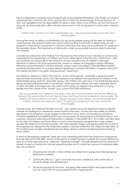that it is addressed as bullying and not specifically as drug-related intimidation. The threats can lead to withdrawal from school for the victim, pushing them further into disadvantage. Echoing the input of AGS, she highlighted that the responsibility for debts is often taken on by mothers, but that the issue of drug use, let alone drug debt, often only becomes known to the young person's family when a threat is made.

#### *'Mothers often only find out in the worst possible way – with someone banging down their door' Anna Quigley*

Among the knock-on effects of intimidation can be young people paying off the debt by holding or carrying drugs. The research noted how what is initial low-level involvement in illegal drug use can progress to more serious involvement in criminal activity e.g. from drug use to possession for supply as in the example above. The importance of intervention while young people have low-level involvement was stressed.

Citywide also presented some findings from the report by the School of Law, University of Limerick (UL), supported by the Department of Children and Youth Affairs (2016) *Lifting the Lid on Greentown – Why*  we should be concerned about the influence criminal networks have on children's offending *behaviour in Ireland*. This study examined the context of children who engage in serious offending behaviour and participate in criminal networks. Using a case study design, it first identified and then examined the behaviour of a criminal network operating in a Garda Sub-District in Ireland in 2010–2011. The Garda Sub-District was given the pseudonym 'Greentown'.

The research, based on a district that had an 'active crime network', essentially a gang structured around family and kinship, shows that there appears to be different life experiences for children in the family/kinship group and the "associate" group, with children who are close to the family/kinship group being relatively well looked after or 'protected', while associate children are more vulnerable due to chaotic and difficult backgrounds. The culture of the gang can appear more attractive to young people than the culture of the "system" (e.g. schools and state institutions).

*'The young people don't believe in the system, they don't trust the system, they see the difference between the opportunities that are there for them and those that are available to other people. The people that have authority over them - Gardaí, teachers, social workers – tend to be people from outside, whereas the power structures in the gang are people from their own community.' Anna Quigley*

A further study, the 'National Prevalence study', was carried out by the Greentown team to identify whether the findings from Greentown extend beyond that area. It found that the profiles of children described in the Greentown study appear to resonate in many other communities across Ireland. Citywide highlighted that addressing this issue young person by young person is of limited impact, and sustained, long-term planning and intervention is needed. In December 2017, €1.2 million was allocated by the Dept of Children and Youth Affairs to fund a new intervention programme to help children escape the influence of criminal networks, with more detailed design work being carried out as part of the ongoing work arising from the Greentown project. Citywide noted that the criteria for allocation of this funding have not been developed yet and there will be a national tendering process based on those criteria.

In terms of developing a response, there are some interesting points from the Greentown Programme that are relevant for the NEIC. As part of the report, a model has been outlined that would address this issue on a more systematic level, called the 'Greentown Model'. Citywide stressed that the Greentown Model is based on having four mutually supporting pillars and it cannot be reduced to individual pillars, they are as follows:

- Disrupting the network make children less attractive to gangs and make gangs less attractive to children
- Community efficacy gain community trust and confidence, with community at centre of design and development
- Pro-social opportunity structure the gang offers expectations and opportunities how can we match that for young people and for target group?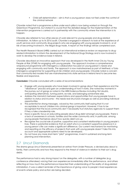• Child self-determination – aim is that a young person does not feel under the control of the criminal network

Citywide noted that a programme outline under each pillar is now being worked on through the Greentown Programme, but stated it is crucial that the detailed design for the implementation of the intervention programme is carried out in partnership with the community where the intervention is to happen.

Citywide also referred to two other pieces of work relevant to young people and drug-related intimidation. As follow up to its 2016 audit, Citywide is engaged in research to look at the experience of youth services and community drug projects who are engaging with young people involved in, or at risk of becoming involved in, the illegal drugs trade. A report on the findings will be completed soon.

The Health Research Board (HRB) carried out an international evidence review on responses to drugrelated intimidation to inform the development of the National Drugs Strategy and is now involved in work to develop the evidence base in Ireland.

Citywide described an innovative approach that was developed in the North Inner City by Young People at Risk (YPAR) for engaging with young people. The approach involves a comprehensive wraparound programme with interagency collaboration focused on young person's needs and engaging with community and family. The approach is now mainstreamed as part of Meitheal, a Túsla interagency programme for supporting at-risk children and young people. Citywide noted a concern that community-led models that are mainstreamed into state services in Ireland tend to become less flexible and responsive.

**Conclusion:** Citywide concluded with a series of recommendations

- Engage with young people who have been involved in gangs about their experience and the "desistance" process and gain an understanding of how it works. She noted key moments in the journey out of gangs as noted in the HRB Evidence Review including: first doubts, anticipating alternatives, turning points, ex-role, and belonging somewhere else.
- Address the mismatch between expectations and opportunities that young people have in relation to status and income – this needs real structural changes as well as providing individual opportunities
- The potential for strong messages, voiced by the community itself saying that it is not acceptable to recruit children into criminal gangs is important. However, it has to be recognised that the local community don't necessarily trust statutory agencies to support them if they a take a leadership role.
- Have a specific focus on educating people about drug debt amongst young people. There is a lack of awareness in schools, families and the wider community and, in particular, among young people themselves about how quickly debt runs up.
- Recognise the crucial role of positive, supportive and consistent relationships in young people's lives. There is substantial evidence that an adult who is a consistent supportive presence in a young person's life can make a significant difference. Our current mechanisms for monitoring and reporting on the efficacy of projects that work with young people doesn't take this into account and appropriate systems need to be developed.
- Do not have any more short-term "pilot" programmes, invest in sustained and long-term planning and intervention.

## <span id="page-11-0"></span>2.7 Uncut Diamonds

The drama group Uncut Diamonds presented an extract from Under Pressure, a devised play about a family, their community and how they respond to the threat of violence in relation to their son's drug debts.

The performance had a very strong impact on the delegates, with a number of delegates (e.g. conference attendees) voicing their own experiences immediately after the performance, and others reflecting on how much the performance impacted their understanding of the reality of drug-related intimidation. It was a salient reminder of the importance of giving voice to people's lived experiences at events where policy and action are being decided.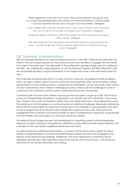*'What happened to me was much worse. They came looking for ten grand, and my 13-year-old granddaughter was upstairs and heard everything. If I'd be younger I would've told them exactly what I thought, but I was terrified.' Delegate*

*'I had a €6000 debt, and they wanted me to carry a gun for them, I am in recovery now, but I'm up for the charge on Tuesday and I'm terrified'. Delegate*

*'People are terrified, terrified to talk to the Gardaí - but they should, they can give safety advice'. Delegate*

*'We were really struck by the drama and what that opened up for people in the room - we need to get the voices of people heard and try to make the fear go away.' Delegate*

## <span id="page-12-0"></span>2.8 Summary of presentations

DRI is increasingly reported as an issue among local services. In the NEIC it affects over half those who interact with local support groups, but the community are much less likely to engage with the Gardaí than those in the wider area. The age profile of those affected is getting younger, and this is starkest in the NEIC, with additionally a high proportion of over 55s affected. People in the NEIC affected by DRI are substantially less likely to report intimidation to the Gardaí than those in the wider North Inner-City area.

The challenges of policing stem from a number of factors. Drug use, drug selling and DRI all happen within very tight contexts, within the same community and sometimes within the same family, making people fearful of, and conflicted about, coming forward. Intimidation can be very subtle, often without an overt verbal threat, which makes it challenging to police. There is also the challenge of a lack of community trust in authority and this is seen in particular among new communities.

A national audit has shown that children as young as nine have been caught up in DRI, with those as young as 15 perpetrating intimidation. Young people can be both user and 'intimidator' at the same time, caught in the cycle of intimidation before they even realize they have a drug dependency issue. The existence of criminal gangs in a community poses an additional challenge. Meaningful alternatives which fulfil the natural desire for status and income need to be available to young people in the area, as well as programmes that intervene when people are caught up in the cycle. More proactive engagement from a primary school level onwards as well as comprehensive supports for young people and their families who are caught up in the drug culture are needed.

The National Drugs Strategy has seen the development of a reporting system involving designated Inspectors as well as training on Drug Relation Intimidation by the National Family Support Network. The evaluation of this work will be completed before the end of 2018.

As noted during the conference presentations, a number of other actors have a significant role in relation to drug intimidation, including the Health Research Board, and the actors engaged in the delivery of the National Drugs Strategy. Additionally, the issues raised both by presenters and by delegates naturally also have implications beyond the specific remit of Sub Group 1, with particular relevance for Sub Group 2 Education and Training.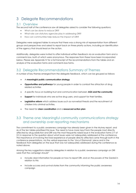# <span id="page-13-0"></span>3 Delegate Recommendations

## <span id="page-13-1"></span>3.1 Overview

The second half of the conference saw all delegates asked to consider the following questions:

- What can be done to reduce DRI?
- What role can statutory agencies play in addressing DRI?
- How can communities help reduce the impact of DRI?

Delegates were assigned tables to ensure that there was a strong mix of representation from different groups and perspectives and asked to report back on three priority actions, including an identification of the agency that should lead on the action.

Additionally, delegates were invited to offer individual written feedback via an evaluation form and a comments box, both of which were anonymous. The responses from these have been incorporated below. Please see Appendix IV for a full transcript of the recommendations from the tables and an analysis of the evaluation forms and comments box forms.

## <span id="page-13-2"></span>3.2 Delegate Recommendations Summary of Themes

A number of key themes emerged from the delegate feedback, which can be grouped as follows:

- A **meaningful public communication strategy**
- **Opportunities and pathways** for young people in order to combat the attraction of drug related activities
- A specific focus on building trust and communication between **AGS and the community**
- **Support** for individuals who are active drug users, and support for their families.
- **Legislative reform** which address issues such as nonverbal threats and the recruitment of children into criminal activities.
- The need for **clear coordination** and a **resourced action plan**

## <span id="page-13-3"></span>3.3 Theme one: Meaningful community communications strategy and ownership over reporting mechanisms

The commitment to a public awareness campaign has already been given in the Mulvey report, and six of the ten tables prioritized this issue. The need to have more input from the people most directly affected by drug addiction and DRI was the most frequently raised issue in the evaluation forms (17 of 51) in response to the question about what issues were not adequately addressed at the conference. The importance of involving the lived experience of people directly affected came through both in the conference presentations, via the verbal responses to the 'Uncut Diamonds' piece and in the feedback from delegates on the issue that was not adequately addressed during the conference as noted above.

Among the key suggestions raised by delegates in relation to a public awareness campaign on DRI were that the campaign should"

- Include clear information for people on how to report DRI, and on the powers of the Gardaí in relation to this
- Include success and survival stories from the community informing the public awareness campaign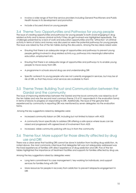- Involve a wide range of front line service providers including General Practitioners and Public Health Nurses in its development and promotion
- Include a focused strand on young people

## <span id="page-14-0"></span>3.4 Theme Two: Opportunities and Pathways for young people

The issue of creating opportunities and pathways for young people to both avoid engaging in drug related activity and to leave criminal activity if they do get involved was highlighted repeatedly. The challenges presented by a lack of work and education opportunities and the 'attraction' of criminal activity in terms of status and money was discussed as were the potential pathways for young people. The issue was raised by five of the ten tables during the discussions. Among the key ideas raised were:

- Ensuring that there is an adequate range of opportunities and pathways to prevent young people getting involved in drug related activity e.g. pathways into meaningful alternative education, employment etc.
- Ensuring that there is an adequate range of opportunities and pathways to to enable young people to move away from DRI.
- A programme in schools around drug use and understanding DRI
- Specific outreach to young people who are not currently engaged in services, but may be at risk of DRI, so that they know what services are available to them

## <span id="page-14-1"></span>3.5 Theme Three: Building Trust and Communication between the Gardaí and the community

The issue of improving relationships between the Gardaí and the local community was raised by six of the ten tables and was the second most common theme (15 of 51 respondents in the evaluation forms) in terms of blocks to progress on responding to DRI. Additionally, the issue of the genuine fear experienced by community in reporting DRI was mentioned by seven delegates via the evaluation forms.

Among the key suggestions raised by delegates were:

- Increased community liaison on DRI, including but not limited to liaison with AGS
- A community forum specifically to address DRI offering a safe space where issues can be raised and progressed with agreed level of involvement from AGS
- Increased, visible community policing with buy in from the community

## <span id="page-14-2"></span>3.6 Theme four: More support for those directly affected by drug use and DRI

There was a clear sense that tackling DRI cannot be done in isolation from tackling drug addiction. As noted above, the most commonly cited issue that delegates felt was not adequately addressed was the lived experiences of families with direct experience of drug addiction and DRI. Five of the ten tables highlighted the importance of treatment facilities and supports for families affected by drug use.

Among the key suggestions raised by delegates were:

- Long term commitment to case management / key-working for individuals, and support services for families living with DRI
- More resources for people in recovery from addiction to prevent relapse/re-engagement in DRI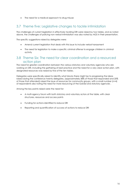• The need for a medical approach to drug misuse

## <span id="page-15-0"></span>3.7 Theme five: Legislative changes to tackle intimidation

The challenges of current legislation in effectively tackling DRI were raised by two tables, and as noted above, the challenges of policing non-verbal intimidation was also noted by AGS in their presentation.

The specific suggestions raised by delegates were:

- Amend current legislation that deals with this issue to include verbal harassment
- The need for legislation to make a specific criminal offense to engage children in criminal activity

## <span id="page-15-1"></span>3.8 Theme Six: The need for clear coordination and a resourced action plan

The need for greater coordination between the various statutory and voluntary agencies who are working on DRI, including the gathering of best practice and the need for a very clear action plan, with designated resources was raised by five of the ten tables.

Delegates were specifically asked to identify what blocks there might be to progressing the ideas raised during the conference twenty delegates, (approximately 38% of those that responded and 20% of those that attended) raised the issue of resources for community groups, with a small number (n=4) of respondents also noting the need for more resourcing of the Gardaí and statutory agencies .

Among the key points raised were the need for:

- A multi-agency forum with both statutory and voluntary actors at the table, with clear structures, resources and access points
- Funding for actions identified to reduce DRI
- Reporting and quantification of success of actions to reduce DRI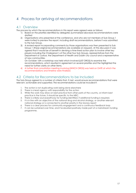# <span id="page-16-0"></span>4 Process for arriving at recommendations

## <span id="page-16-1"></span>4.1 Overview

The process by which the recommendations in this report were agreed were as follows:

- 1) Based on the priorities identified by delegates (summarised above)six recommendations were drafted
- 2) Organisations who presented at the conference, and who are not members of Sub Group 1 were invited to preview the report, including draft recommendations, before it was submitted to the Sub Group.
- 3) A revised report incorporating comments by those organisations was then presented to Sub Group 1 (these original recommendations are available on request). At this discussion it was agreed that it would be of benefit in devising a time-lined action plan to involve other key players including the Chairperson's of the other four Sub Groups, representatives from the Department of Justice, the Department of Health and Dublin city council and a representative of new communities.

On October 16th a workshop was held which involved {LIST ORGS} to examine the recommendations, which resulted in agreement on several priorities and the highlighted the need for further clarity on other items.

4) A further final consultation meeting involving {WHICH ORGS} was held on DATE at which the recommendations and timeline were finalised.

## <span id="page-16-2"></span>4.2 Criteria for Recommendations to be Included

The Sub-Group agreed to a number of criteria that, if met, would ensure recommendations that were relevant, actionable and supported. The recommendations could be included if:

- 1. The action is not duplicating work being done elsewhere
- 2. There is a lead agency with responsibility for the action
- 3. While the work may draw on best practice from other parts of the country, or inform best practice in the future, it should be specific to the NEIC.
- 4. There is a likely source/pathway for funding identified, if additional funding is required,
- 5. It is in line with an objective of the national drug and alcohol strategy, or another relevant national strategy or is connected to another priority in the Mulvey report
- 6. There is a clear process for community engagement and a continuous feedback loop
- 7. It can be sustained over time, and if evaluated positively made part of a mainstream funding programme.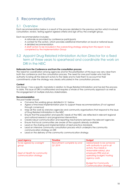# <span id="page-17-0"></span>5 Recommendations

## <span id="page-17-1"></span>5.1 Overview

Each recommendation below is a result of the process detailed in the previous section which involved consultation, review, testing against agreed criteria and sign off by the oversight group.

Each recommendation includes:

- A rationale as provided by conference participants
- A context for the action, which provides additional information on local or national issues
- A detailed recommendation
- A draft action to be included in the overarching strategy arising from this report, to be completed by the Implementation Group

## <span id="page-17-2"></span>5.2 Appoint Drug Related Intimidation Action Director for a fixed term of three years to spearhead and coordinate the work on DRI in the NEIC

#### **Rationale from the Conference and from the consultation process**

The need for coordination among agencies and for the prioritization of this issue was very clear from both the conference and the consultation process. The need for one post holder who had the authority to bring all the relevant actors to the table and to hold them to account for their commitments under the strategy was clearly articulated in the consultation process.

#### **Context**

Sub Group 1 has a specific mandate in relation to Drugs Related Intimidation and has led the process to date. This issue of DRI is multifaceted and requires a whole of the community approach as well as the engagement of multiple statutory stakeholders.

#### **Recommendation**

The post holder should:

- Convene the working group detailed in 5.1 below
- Agree a time lined implementation plan to support these recommendations *(if not agreed through consensus)*
- Map all the work by statutory agencies and community organisations that respond to the issue of Drug Related Intimidation in the NEIC
- Ensure that the population and specific needs of the NEIC are reflected in relevant regional and national research and programme interventions
- Create robust communication and reporting mechanisms between the relevant agencies
- Ensure that local communities are aware of the supports already available
- Lead on the sharing and implementation of best practice standards
- Lead an intensive community consultation process which underpins the community communication strategy on DRI
- Lead on the delivery of the community communication strategy

| <b>Lead Agency</b>           | <b>Timeline</b>             | <b>Budget</b>                   |
|------------------------------|-----------------------------|---------------------------------|
| To be agreed by oversight    | Recruitment complete by end | Salary (needs to be someone     |
| group                        | Q1 2019                     | with authority to pull in all   |
|                              |                             | actors, thus needs a            |
|                              |                             | reasonable salary), plus        |
| Dept of Health for community |                             | employers PRSI and an           |
| communication strategy       |                             | operating budget/ hosting       |
|                              |                             | agency costs                    |
|                              |                             | <b>Budget for Community</b>     |
|                              |                             |                                 |
|                              |                             | <b>Communication Strategy f</b> |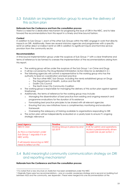## <span id="page-18-0"></span>5.3 Establish an implementation group to ensure the delivery of this action plan

#### **Rationale from the Conference and from the consultation process**

There is a need for a dedicated mechanism for progressing the issue of DRI in the NEIC, and to take forward the recommendations from this report in a timely and time bound fashion.

#### **Context**

l

In addition to Sub Group 1, each of the other Sub Groups within the NEIC engage in work that directly impacts on DRI. Additionally, there are several statutory agencies and programmes with a specific remit on either direct or indirect remit on DRI in addition to significant inputs and front-line service provision from the community sector.

#### **Recommendation:**

A time bound implementation group under the auspices of Sub Group 1<sup>4</sup> with a clear timeframe and terms of reference to be formed to oversee the implementation of the recommendations arising from this report.

- The working group will be under the auspices of the Sub Group 1 on Crime and Drugs
- It will be convened by the Drug Related Intimidation Action Director as detailed in 5.1.
- The following agencies will commit a representative to the working group who has the authority to lead on coordination and best practice:
	- o The four other NEIC Sub Groups, including the newly established group on Drugs
	- o The Departments of Health, Justice and the HSE
	- o Dublin City Council
	- o The North Inner City Community Coalition
- The working group is responsible for managing the delivery of this action plan against agreed timeframes
- Additionally, the terms of reference for the working group may include:
	- o Managing the dissemination of best practice from existing and ongoing research and programme evaluations for the duration of its existence
	- o Formulating best practice principles to be shared with all relevant agencies
	- o Ensuring that any new initiatives have a complimentary monitoring and evaluation framework
	- o Overseeing the adequacy of training available to organisations responding to DRI
- The action plan will be independently evaluated on a yearly basis to ensure it's ongoing strategic relevance

| <b>Lead Agency</b>                                                                  | <b>Timeline</b>               | <b>Budget</b>                                                   |
|-------------------------------------------------------------------------------------|-------------------------------|-----------------------------------------------------------------|
| <b>NEIC?/AGS</b>                                                                    | Working Group in place by end | $\epsilon$ 5K for admin and operations.                         |
| As this is a mechanism under<br>Sub Group 1 arguably it is an<br><b>NEIC entity</b> | Q2 2019                       | Action is predominantly driven<br>by paid role as per action 1. |
| It will require resourcing so NEIC                                                  |                               |                                                                 |
| need to reflect on this                                                             |                               |                                                                 |

## <span id="page-18-1"></span>5.4 Build meaningful community communication strategy on DRI and reporting mechanisms<sup>5</sup>

#### **Rationale from the Conference and from the consultation process**

<sup>4</sup> It is noted that a new structure on Addiction has been established under the NEIC

<sup>5</sup> Originally there were two recommendations – one on a public awareness strategy and a second on building trust between AGS and the community, see Appendix I. These were merged into one recommendation at the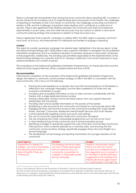There is a strongly felt and persistent fear among the local community about reporting DRI. A number of factors influence this including a lack of understanding about the powers of the Gardaí, the challenges of reporting on members of one's own family or community, the challenges of securing convictions in relation to DRI, and the challenges of persistent street dealing which contribute to a daily lack of security. There is also agreement that relations between the community and AGS have improved exponentially in recent years, and that while the structures may be in place to deliver a micro-level community policing strategy that awareness in relation to these structures is low.

There is agreement that a specific campaign to address DRI in the NEIC region is required, and that it must have, as its focus, the empowerment of individuals and families to engage in reporting.

#### **Context**

The need for a public awareness campaign has already been highlighted in the Mulvey report. Under the National Drugs Strategy (2017-2025) there is also a specific mandate to strengthen the Drug Related Intimidation programme and if successfully evaluated, to develop measures to raise public awareness of the programme. Additionally, the standing subcommittee responsible for the implementation of the National Drugs Strategy has a specific remit to to '*develop, implement and monitor responses to drugrelated intimidation as a matter of priority'.* 

The evaluations of the National Drug Related Intimidation Programme by An Garda Síochána and the National Family Support Network will be complete before the end of 2018.

#### **Recommendation**

 $\overline{a}$ 

Following the completion of the evaluation of the National Drug Related Intimidation Programme, design and deliver a community communication strategy on DRI in the NEIC in consultation with the local community, with a focus on the following:

- Ensuring the lived experiences of people who have first-hand experience of intimidation is reflected in the campaign messaging, and the direct experience of those who are involved in intimidation is sought
- Providing clear accessible information on how to raise concerns confidentially with the Gardaí, with a single dedicated phone number
- Having a dedicated, named community liaison person who can support improved relationships with the Gardaí
- Providing clear and accessible information on the powers of the Gardaí
- Establishing a safe structure for the community and Gardaí to communicate about DRI
- Engaging all those with front line access to the community including GPs, Public Health Nurses, Teachers, Community Adolescent Mental Health Services and Youth Workers
- A strand specifically targeting schools and youth work settings
- The use of community appropriate media and community champions
- The use of learning from other comparable programmes such as that run by Cosc<sup>6</sup>
- A clear feedback loop for the community and a formal evaluation process
- Identifying a budget to specifically support the work of the New Communities Community Policing Forum which currently operates on a voluntary basis, and ensuring that the community communications strategy specifically engages those who have English as a second language
- The development of technology led reporting mechanisms for younger members of the community

| <b>Lead Agency</b>                                                                                                                      | <b>Timeline</b>                                                                                                                                           | <b>Budget</b>                                                                                                                                                         |
|-----------------------------------------------------------------------------------------------------------------------------------------|-----------------------------------------------------------------------------------------------------------------------------------------------------------|-----------------------------------------------------------------------------------------------------------------------------------------------------------------------|
| Department of Health for<br>budget - nb what is the dotted<br>line reporting mechanism to<br>Dept of Health if they are<br>funding this | This strategy should be rolled<br>out over a three-year period<br>with an intensive focus on<br>community consultation to<br>underpin a meaningful public | Needs to be formally costed,<br>that is out with the current<br>process, but a ballpark should<br>be suggested now to ensure it is<br>in the Dept of Health estimates |
|                                                                                                                                         | facing campaign                                                                                                                                           | Suggested at the meeting that<br>PIB decide final budget based<br>on a pilot project, this might be                                                                   |

<sup>6</sup>Cosc is The National Office for the Prevention of Domestic, Sexual and Gender-based Violence.

The aim of their national awareness campaign is to increase the awareness of domestic and sexual violence, to bring about a change in long established societal behaviours and attitudes and to activate bystanders with the aim of decreasing and preventing this violence.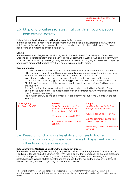| good solution for now – just<br>, fundinc |
|-------------------------------------------|
|-------------------------------------------|

## <span id="page-20-0"></span>5.5 Map and prioritize strategies that can divert young people from criminal activity

#### **Rationale from the Conference and from the consultation process**

There is, anecdotally, a high level of engagement of young people in drug related activity, criminal activity and intimidation. There is a pressing need to address this both at an individual level for young people and at a systematic and strategic level.

#### **Context**

There are a number of agencies contributing to this process in the NEIC including Sub Group 3 on Creating an Integrated System of Social Services, the Department of Justice, AGS and the community youth services. Additionally, there is growing evidence of the impact of gang related activity on young people and emergent strategies from the Greentown project on this topic.

#### **Recommendation**

- Sub Group 3 to map available youth diversion interventions in this area as they relate to the NEIC. This is with a view to identifying gaps in practice as mapped against need, evidence in research and to create shared understanding among the different actors
- A conference to be convened on the issue of youth diversion strategies, with a strong emphasis on the direct engagement of young people who have been directly impacted by DRI. This conference will highlight gaps and developments needed as identified by research in previous step.
- A specific action plan on youth diversion strategies to be adopted by the Working Group based on the outcomes of the mapping research and conference, with timed activities and a specific evaluation strategy
- The inclusion of NEIC as one of the three pilot areas for the roll out of the Greentown project research

| <b>Lead Agency</b> | <b>Timeline</b>            | <b>Budget</b>                                |
|--------------------|----------------------------|----------------------------------------------|
| Sub Group 3/ NEIC  | Mapping exercise including | Additional capacity for Sub                  |
|                    | bringing all the agencies  | Group 3 to lead on this?                     |
|                    | together by end Q1 2019    |                                              |
|                    |                            | Conference Budget ~ $€7,000$                 |
|                    | Conference by end Q2 2019  |                                              |
|                    |                            | Additional actions arising from              |
|                    | Action Plan adopted by end | the action plan $-$ TBC                      |
|                    | Q4 2019                    |                                              |
|                    |                            | Monitoring and evaluation $\sim \epsilon$ 5K |
|                    |                            | annually                                     |

## <span id="page-20-1"></span>5.6 Research and propose legislative changes to tackle intimidation and administrative powers to target welfare and other fraud to be investigated<sup>7</sup>

#### **Rationale from the Conference and from the consultation process**

There are limits to the legislation regarding drug-related intimidation. Strengthening, for example, the Non-Fatal Offences Against the Person Act (1997) would ensure that Gardaí can pursue and prosecute individuals for specific crimes relating to this. Additionally, the issue of those benefiting from drug related activities availing of state benefits and the impact that this has on the community in terms of their belief in the justice and regulatory systems was also raised.

l <sup>7</sup> The latter half of this recommendation was suggested by The North Inner City Community Coalition at the workshop on October 16, while it was welcomed in the room the area requires further discussion in order to ensure buy in.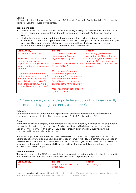#### **Context**

It is noted that the Criminal Law (Recruitment of Children to Engage in Criminal Activity) Bill is currently going through the Houses of Oireachtas.

#### **Recommendation**

- The Implementation Group to identify the relevant legislative gaps and make recommendations to the Programme Implementation Board to recommend changes to An Taoiseach's office directly.
- The Implementation Group to debate the issues of whether welfare and other supports can be withdrawn from those profiting from criminal activity, with due regard for the relevant human rights and equality provisions under Irish law and due process. Once this topic has had a full and considered debate, if appropriate research should be commissioned.

| <b>Lead Agency</b>                   | <b>Timeline</b>                  | <b>Budget</b>                    |
|--------------------------------------|----------------------------------|----------------------------------|
| <b>Implementation Group</b>          | Commission independent           | I would suggest a research       |
|                                      | research on outstanding          | budget of ~€20K here, but as     |
| Note: AGS cannot be seen to          | legislative gaps by end Q2 2019  | with all budgets, some parallel  |
| be seeking changes in                |                                  | work by NEIC staff team to       |
| legislation, so it is important that | Make recommendations to PIB      | reflect on likely costs would be |
| they are not commissioning the       | by end Q3 2019                   | helpful                          |
| research                             |                                  |                                  |
|                                      | Commission independent           |                                  |
| A conference on addressing           | research on appropriate          |                                  |
| welfare fraud may be a useful        | mechanisms to address welfare    |                                  |
| way of bringing this issue into      | and other fraud by those         |                                  |
| the public domain and getting        | benefitting from drug related    |                                  |
| multi - stakeholder buy into a       | criminal activity by end Q4 2019 |                                  |
| potential best practice model        |                                  |                                  |
|                                      | Make recommendations to PIB      |                                  |
|                                      | by end Q1 2020                   |                                  |

## <span id="page-21-0"></span>5.7 Seek delivery of an adequate level support for those directly affected by drug use and DRI in the NEIC

#### **Rationale**

Conference delegates underlined the importance of adequate treatment and rehabilitation for people with drug and alcohol difficulties and support for their families in the NEIC.

#### **Context**

At the time of writing this report, a needs analysis of the North Inner City in relation to service provision for people living with drug and alcohol difficulties and their families is being undertaken by the Department of Health/ North Inner-City Drugs Task Force. In addition, a HSE audit review have commenced to ensure adequate services.

There is an opportunity to ensure that these two research processes are complementary, and can collate specific information on needs and coverage of same in the NEIC<sup>8</sup>. This information will support the effective implementation of this action, specifically, where a gap is identified in relation to service coverage for those with drug/alcohol difficulties and their families in relation to substance misuse support or DRI related support.

#### **Recommendation**

l

The specific needs of the NEIC area in relation to drug services and supports to families to be identified and lead agencies identified for the delivery of additional / improved services.

| <b>Lead Agency</b> | Timeline                                     | <b>Budget</b>    |
|--------------------|----------------------------------------------|------------------|
| PIB                | Both reports will be complete<br>by Q1 2019. | TBC post reports |

<sup>8</sup> Subgroup members will progress this: Anita Whyte will ensure the HSE review picks these recommendations up. Mel Mac Giobúin will ensure that the researcher picks this up and addresses in her work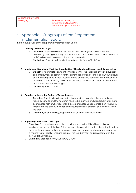## <span id="page-22-0"></span>6 Appendix II: Subgroups of the Programme Implementation Board

The four subgroups of the Programme Implementation Board

#### 1. **Tackling Crime and Drugs:**

- o **Objective:** to promote better and more visible policing with an emphasis on community policing as the key feature in the Plan. It must be "safe" to lead; it must be "safe" to live, work, learn and play in the community.
- o **Chaired by:** Chief Superintendent Sean Ward, An Garda Siochána

#### 2. **Maximising Educational / Training Opportunities / Creating Local Employment Opportunities:**

- o **Objective:** to promote significant enhancement of the linkages between education and employment opportunity for this current generation of school goers, young adults and the unemployed in local businesses and enterprises, particularly in the business / retail area of the inner city and in the Docklands Development – both in construction and business occupation stages.
- o **Chaired by:** new Chair TBC

#### 3. **Creating an Integrated System of Social Services**

- o **Objective:** Social, educational and training services to address the real problems faced by families and their children need to be planned and delivered in a far more coordinated fashion. Services should be co-ordinated under a single plan which is in response to the particular needs and circumstances of different communities within the area.
- o **Chaired by**; Conor Rowley, Department of Children and Youth Affairs

#### 4. **Improving the Physical Landscape**

- o **Objective**: The area has some of the broadest streets in the City with potential for refurbishment and revitalisation. Future regeneration needs to explore the potential within the area to renovate, make it liveable and bright with improved physical landscape; to eliminate waste, derelict sites and progress the refurbishment and replacement of the existing flat complexes.
- o **Chaired by:** Brendan Kenny, Dublin City Council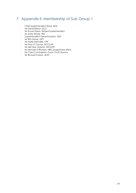# <span id="page-23-0"></span>7 Appendix II: Membership of Sub Group 1

- Chief Superintendent Ward, AGS
- Mr Donal Barron, DCC
- Mr Eunan Dolan, Retired Superintendent
- Ms Anita Whyte, HSE
- Superintendent Gerard Murphy, AGS
- Mr Eltin Moran, DPS
- Ms Marie Metcalfe, CPF
- Ms Trina O'Connor, NCCCAP
- Mr Mel Mac Giobúin, NICDATF
- Mr Michael O'Riordan, NEIC programme office
- Ms Ciara Cunningham, Swan Youth Service
- Mr Richard Carson, ACET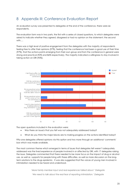# <span id="page-24-0"></span>8 Appendix III: Conference Evaluation Report

An evaluation survey was presented to delegates at the end of the conference, there were 66 respondents.

The evaluation form was in two parts, the first with a series of closed questions, to which delegates were asked to indicate whether they agreed, disagreed or had no opinion on the statement; the second with….

There was a high level of positive engagement from the delegates with the majority of respondents feeling free to offer their opinions (97%), feeling that the conference had been a good use of their time (97%), that the actions points emerging from their own group and from the conference in general were strong and practical (92% and 86% respectively). The majority indicated a willingness to stay involved in taking action on DRI (95%).



The open questions included in the evaluation were:

- Was there an issue/s that you felt was not adequately addressed today?
- What do you think the major blocks are to making progress on the actions identified today?

Fifty-one delegates offered opinions via this option and two more through an additional 'comments' box which was made available.

The most common theme which emerged in terms of issues that delegates felt weren't adequately addressed was the lived experience of people involved in or affected by DRI, with 17 delegates raising the issue. Delegates commented that there needed to be more focus on the impact of drug or alcohol use, as well as supports for people living with these difficulties, as well as more discussion on the longterm solutions to the drugs epidemic. It was also suggested that the voices of young men involved in intimidation needed to be heard and understood.

*'More family member input and real experiences talked about.' Delegate*

*'We need to talk about the real fear of reporting intimidation.' Delegate*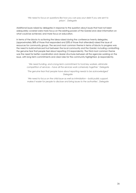#### *'We need to focus on questions like how you can pay your debt if you are sent to prison'. Delegate*

Additional issues raised by delegates in response to the question about issues that had not been adequately covered were more focus on the existing powers of the Gardaí and clear information on what could be achieved, and more focus on education.

In terms of the blocks to actioning the ideas raised during the conference twenty delegates, (approximately 38% of those that responded and 20% of those that attended) raised the issue of resources for community groups. The second most common theme in terms of blocks to progress was the need to build enhanced trust between the local community and the Gardaí, including combatting the genuine fear that people feel about reporting (15 respondents). The third most common theme was the need for better coordination and clearer structures between all the agencies working on the issue, with long term commitments and clear roles for the community highlighted. (6 respondents).

> *'We need funding, and a long-term commitment to fund key workers, eliminate competition of services – have all the services work cohesively together.' Delegate*

> *'The genuine fear that people have about reporting needs to be acknowledged' Delegate*

> *'We need to focus on the child issue as well as intimidation – build public support, makes it easier for people to disclose and bring issues to the authorities', Delegate*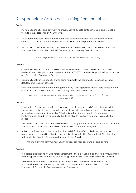# <span id="page-26-0"></span>9 Appendix IV Action points arising from the tables

#### **Table 1**

- 1. Provide opportunities and pathways to prevent young people getting involved, and to enable them to leave. Responsible? Youth Services
- 2. Structured framework where there is open and better communications between everyone Gardaí, DCC, DSCP - similar to Meitheal framework for both perpetrator and victim.
- 3. Support for families when in crisis, build resilience, harm reduction, public awareness, education schools on intimidation. Responsible? Community and Statutory Organisations

*'let the perps know that the community is involved and are acting'.* 

#### **Table 2**

- 1. Community services to be informed of Criminal Assets Bureau and its power and local asset profiler. Community groups need to promote the 1800 250025 number. Responsible? Local Services and Community, Community Gardaí.
- 2. Community networks, successful stories being relayed to the community. Responsible? Local statutory and voluntary services
- 3. Long term commitment to case management / key working for individuals. There needs to be a continuum of care. Responsible? Local statutory and voluntary services

*'We need to have people sharing their stories of how to get out of it, to build up community resilience'.*

#### **Table 3**

- 1. Relationships: To enhance relations between community projects and Gardaí, there needs to be funding for a dedicated worker who is responsible for advocacy, liaisons, policy, public awareness of reporting programme. Responsible? The funding should come from the Programme Implementation Board, the community should be able to input and to tender to provide the service
- 2. Mechanisms: We need structures and resources (restoring pre-cut levels) with interaction points for task force, community reps and Gardaí. Responsible? Task Forces / Projects
- 3. Action Plan: There need to be an action plan on DRI for the NEIC, make it happen from today, put proper resources behind it, a timeline and feedback opportunities. Responsible? All stakeholders with leadership from the Programme Implementation Board.

*'What's missing in communities? Building pride, confidence, giving people options.'*

#### **Table 4**

- 1. To address legislation to include verbal harassment this is a tough ask as it will take time. Examine the Portuguese model on how we address drugs. Responsible? TD's and Community Coalition.
- 2. We need safe structures for community and the police to communicate for example a subcommittee of the community policing forum and preventative education in schools. Responsible? Community Policing Forum and Task Forces.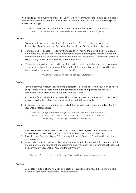3. We need to build up trusting relations. 'Let us in' – we (the community) are (should be) the police, the teachers and the researchers. Responsible? Investment from the state, not a national policy but a local strategy.

> *'***Let us in** *-* We are the police, the teachers, the researchers – we as a community *need to be the leaders, and we need the changes so that we can get in.'*

#### **Table 5**

- 1. Community liaison person not just for Liaison with the Gardaí. It needs to happen yesterday. Responsible? Funding from the Department of Health and Department of Justice, input
- 2. More resource for people for recovery from addiction, making the lifestyle away from drugs more attractive. We shouldn't forget other addictions like gambling and tablets, we need a treatment centre. This all needs to happen yesterday too. Responsible? Department of Health, HSE, Statutory bodies, the Community and the Task Force.
- 3. We need consumption rooms and to provide medical heroin [note there was not unanimous agreement on this point in the group]. Responsible? Department of Health, it should happen this year as the resources are in place [fact check]

*'All of this is urgent, it needs to happen 'yesterday''.*

#### **Table 6**

- 1. Set up a community forum specifically to address DRI, a safe space where issue can be raised and progress, with education and case conferencing used to respond to specific issues. Responsible? The Community with supports from the Gardaí.
- 2. Address the fear and reluctance to repot intimidation: A clear and transparent process using trust and relationships within the community. Responsible? Not specified.
- 3. Revision of how issues around drug use and related intimidation is responded to [in schools?]. Responsible? Not specified.

*'We could have public awareness posters in places like the doctors office, so people know they could raise the issue there, and the GPs would have the knowledge to link people into available supports.'*

#### **Table 7**

- 1. Multi agency response with decision makers at the table alongside community decision makers. Responsible? Dedicated coordinator for DRI who work with all agencies.
- 2. Reporting and Quantification of DRI. Responsible? Health Research Board working with local service providers.
- 3. Increased community policing visible in the community with the support of the community, this is to create the conditions to enhance reporting and strengthen the relationships between AGS and community. Responsible: AGS and the Community

*We need to create the conditions that will build trust and increase reporting*

#### **Table 8**

1. Dedicated national phone number, sign-posting of supports, consistent advice and a public awareness campaign. Responsible? Minister for State